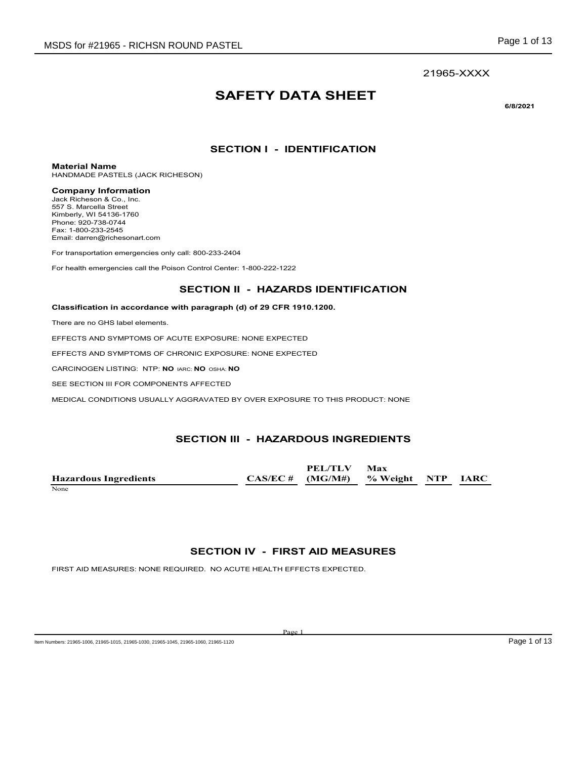# **SAFETY DATA SHEET**

**6/8/2021**

## **SECTION I - IDENTIFICATION**

**Material Name**

HANDMADE PASTELS (JACK RICHESON)

#### **Company Information**

Jack Richeson & Co., Inc. 557 S. Marcella Street Kimberly, WI 54136-1760 Phone: 920-738-0744 Fax: 1-800-233-2545 Email: darren@richesonart.com

For transportation emergencies only call: 800-233-2404

For health emergencies call the Poison Control Center: 1-800-222-1222

#### **SECTION II - HAZARDS IDENTIFICATION**

#### **Classification in accordance with paragraph (d) of 29 CFR 1910.1200.**

There are no GHS label elements.

EFFECTS AND SYMPTOMS OF ACUTE EXPOSURE: NONE EXPECTED

EFFECTS AND SYMPTOMS OF CHRONIC EXPOSURE: NONE EXPECTED

CARCINOGEN LISTING: NTP: **NO** IARC: **NO** OSHA: **NO**

SEE SECTION III FOR COMPONENTS AFFECTED

MEDICAL CONDITIONS USUALLY AGGRAVATED BY OVER EXPOSURE TO THIS PRODUCT: NONE

### **SECTION III - HAZARDOUS INGREDIENTS**

**Hazardous Ingredients CAS/EC # PEL/TLV (MG/M#) Max % Weight NTP IARC** None experience and the set of the set of the set of the set of the set of the set of the set of the set of the set of the set of the set of the set of the set of the set of the set of the set of the set of the set of the

### **SECTION IV - FIRST AID MEASURES**

Page 1

FIRST AID MEASURES: NONE REQUIRED. NO ACUTE HEALTH EFFECTS EXPECTED.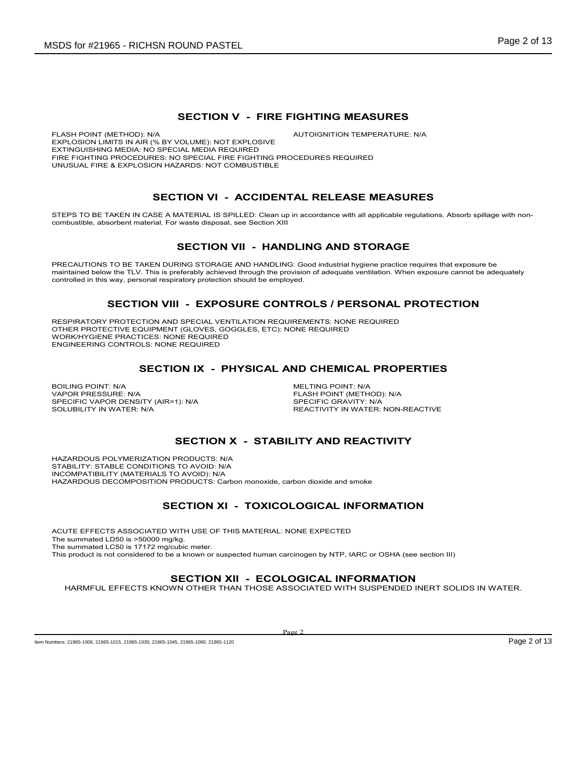#### **SECTION V - FIRE FIGHTING MEASURES**

FLASH POINT (METHOD): N/A  $\blacksquare$  AUTOIGNITION TEMPERATURE: N/A EXPLOSION LIMITS IN AIR (% BY VOLUME): NOT EXPLOSIVE EXTINGUISHING MEDIA: NO SPECIAL MEDIA REQUIRED FIRE FIGHTING PROCEDURES: NO SPECIAL FIRE FIGHTING PROCEDURES REQUIRED UNUSUAL FIRE & EXPLOSION HAZARDS: NOT COMBUSTIBLE

## **SECTION VI - ACCIDENTAL RELEASE MEASURES**

STEPS TO BE TAKEN IN CASE A MATERIAL IS SPILLED: Clean up in accordance with all applicable regulations. Absorb spillage with noncombustible, absorbent material. For waste disposal, see Section XIII

## **SECTION VII - HANDLING AND STORAGE**

PRECAUTIONS TO BE TAKEN DURING STORAGE AND HANDLING: Good industrial hygiene practice requires that exposure be maintained below the TLV. This is preferably achieved through the provision of adequate ventilation. When exposure cannot be adequately controlled in this way, personal respiratory protection should be employed.

#### **SECTION VIII - EXPOSURE CONTROLS / PERSONAL PROTECTION**

RESPIRATORY PROTECTION AND SPECIAL VENTILATION REQUIREMENTS: NONE REQUIRED OTHER PROTECTIVE EQUIPMENT (GLOVES, GOGGLES, ETC): NONE REQUIRED WORK/HYGIENE PRACTICES: NONE REQUIRED ENGINEERING CONTROLS: NONE REQUIRED

### **SECTION IX - PHYSICAL AND CHEMICAL PROPERTIES**

BOILING POINT: N/A<br>
VAPOR PRESSURE: N/A<br>
VAPOR PRESSURE: N/A SPECIFIC VAPOR DENSITY (AIR=1): N/A<br>SOLUBILITY IN WATER: N/A

FLASH POINT (METHOD): N/A<br>SPECIFIC GRAVITY: N/A REACTIVITY IN WATER: NON-REACTIVE

## **SECTION X - STABILITY AND REACTIVITY**

HAZARDOUS POLYMERIZATION PRODUCTS: N/A STABILITY: STABLE CONDITIONS TO AVOID: N/A INCOMPATIBILITY (MATERIALS TO AVOID): N/A HAZARDOUS DECOMPOSITION PRODUCTS: Carbon monoxide, carbon dioxide and smoke

## **SECTION XI - TOXICOLOGICAL INFORMATION**

ACUTE EFFECTS ASSOCIATED WITH USE OF THIS MATERIAL: NONE EXPECTED The summated LD50 is >50000 mg/kg. The summated LC50 is 17172 mg/cubic meter. This product is not considered to be a known or suspected human carcinogen by NTP, IARC or OSHA (see section III)

### **SECTION XII - ECOLOGICAL INFORMATION**

HARMFUL EFFECTS KNOWN OTHER THAN THOSE ASSOCIATED WITH SUSPENDED INERT SOLIDS IN WATER.

Page 2

Item Numbers: 21965-1006, 21965-1015, 21965-1030, 21965-1045, 21965-1045, 21965-1080, 21965-1120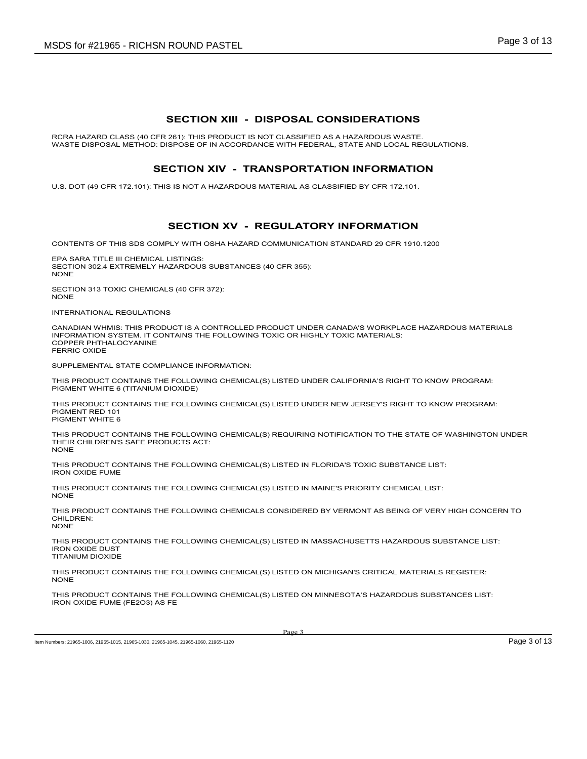#### **SECTION XIII - DISPOSAL CONSIDERATIONS**

RCRA HAZARD CLASS (40 CFR 261): THIS PRODUCT IS NOT CLASSIFIED AS A HAZARDOUS WASTE. WASTE DISPOSAL METHOD: DISPOSE OF IN ACCORDANCE WITH FEDERAL, STATE AND LOCAL REGULATIONS.

#### **SECTION XIV - TRANSPORTATION INFORMATION**

U.S. DOT (49 CFR 172.101): THIS IS NOT A HAZARDOUS MATERIAL AS CLASSIFIED BY CFR 172.101.

## **SECTION XV - REGULATORY INFORMATION**

CONTENTS OF THIS SDS COMPLY WITH OSHA HAZARD COMMUNICATION STANDARD 29 CFR 1910.1200

EPA SARA TITLE III CHEMICAL LISTINGS: SECTION 302.4 EXTREMELY HAZARDOUS SUBSTANCES (40 CFR 355): **NONE** 

SECTION 313 TOXIC CHEMICALS (40 CFR 372): NONE

INTERNATIONAL REGULATIONS

CANADIAN WHMIS: THIS PRODUCT IS A CONTROLLED PRODUCT UNDER CANADA'S WORKPLACE HAZARDOUS MATERIALS INFORMATION SYSTEM. IT CONTAINS THE FOLLOWING TOXIC OR HIGHLY TOXIC MATERIALS: COPPER PHTHALOCYANINE FERRIC OXIDE

SUPPLEMENTAL STATE COMPLIANCE INFORMATION:

THIS PRODUCT CONTAINS THE FOLLOWING CHEMICAL(S) LISTED UNDER CALIFORNIA'S RIGHT TO KNOW PROGRAM: PIGMENT WHITE 6 (TITANIUM DIOXIDE)

THIS PRODUCT CONTAINS THE FOLLOWING CHEMICAL(S) LISTED UNDER NEW JERSEY'S RIGHT TO KNOW PROGRAM: PIGMENT RED 101 PIGMENT WHITE 6

THIS PRODUCT CONTAINS THE FOLLOWING CHEMICAL(S) REQUIRING NOTIFICATION TO THE STATE OF WASHINGTON UNDER THEIR CHILDREN'S SAFE PRODUCTS ACT: NONE

THIS PRODUCT CONTAINS THE FOLLOWING CHEMICAL(S) LISTED IN FLORIDA'S TOXIC SUBSTANCE LIST: IRON OXIDE FUME

THIS PRODUCT CONTAINS THE FOLLOWING CHEMICAL(S) LISTED IN MAINE'S PRIORITY CHEMICAL LIST: NONE

THIS PRODUCT CONTAINS THE FOLLOWING CHEMICALS CONSIDERED BY VERMONT AS BEING OF VERY HIGH CONCERN TO CHILDREN: NONE

THIS PRODUCT CONTAINS THE FOLLOWING CHEMICAL(S) LISTED IN MASSACHUSETTS HAZARDOUS SUBSTANCE LIST: IRON OXIDE DUST TITANIUM DIOXIDE

THIS PRODUCT CONTAINS THE FOLLOWING CHEMICAL(S) LISTED ON MICHIGAN'S CRITICAL MATERIALS REGISTER: NONE

THIS PRODUCT CONTAINS THE FOLLOWING CHEMICAL(S) LISTED ON MINNESOTA'S HAZARDOUS SUBSTANCES LIST: IRON OXIDE FUME (FE2O3) AS FE

Item Numbers: 21965-1006, 21965-1015, 21965-1030, 21965-1045, 21965-1045, 21965-1080, 21965-1120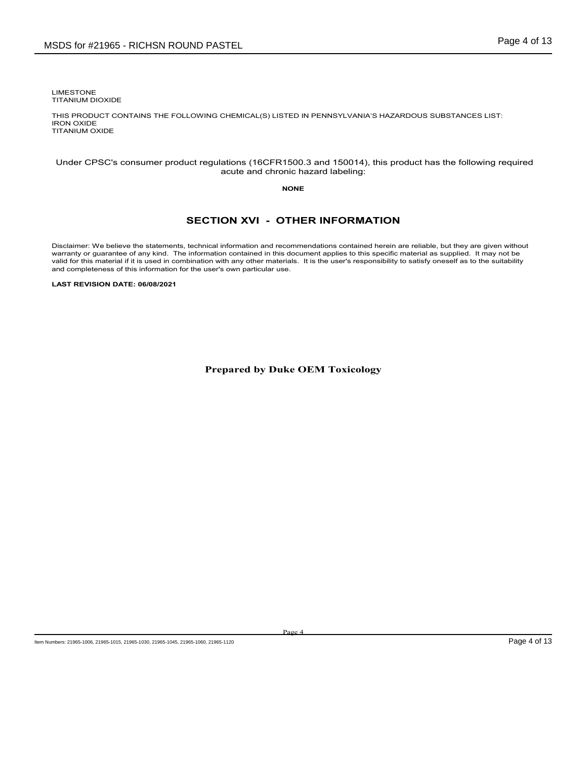LIMESTONE TITANIUM DIOXIDE

THIS PRODUCT CONTAINS THE FOLLOWING CHEMICAL(S) LISTED IN PENNSYLVANIA'S HAZARDOUS SUBSTANCES LIST: IRON OXIDE TITANIUM OXIDE

#### Under CPSC's consumer product regulations (16CFR1500.3 and 150014), this product has the following required acute and chronic hazard labeling:

#### **NONE**

## **SECTION XVI - OTHER INFORMATION**

Disclaimer: We believe the statements, technical information and recommendations contained herein are reliable, but they are given without warranty or guarantee of any kind. The information contained in this document appli

**LAST REVISION DATE: 06/08/2021**

**Prepared by Duke OEM Toxicology**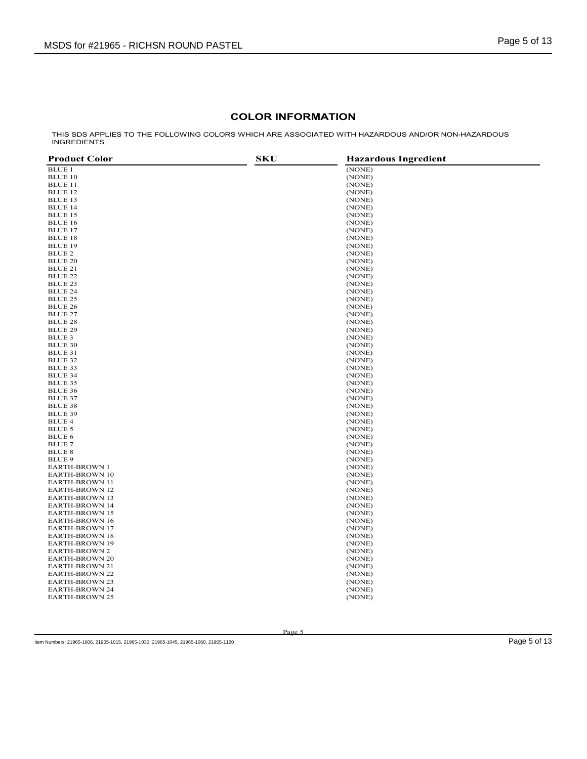## **COLOR INFORMATION**

THIS SDS APPLIES TO THE FOLLOWING COLORS WHICH ARE ASSOCIATED WITH HAZARDOUS AND/OR NON-HAZARDOUS INGREDIENTS

| <b>Product Color</b>             | <b>SKU</b><br><b>Hazardous Ingredient</b> |
|----------------------------------|-------------------------------------------|
| <b>BLUE 1</b>                    | (NONE)                                    |
| <b>BLUE 10</b>                   | (NONE)                                    |
| <b>BLUE 11</b>                   | (NONE)                                    |
| <b>BLUE 12</b>                   | (NONE)                                    |
| <b>BLUE 13</b>                   | (NONE)                                    |
| <b>BLUE 14</b>                   | (NONE)                                    |
| <b>BLUE 15</b>                   | (NONE)                                    |
| <b>BLUE 16</b>                   | (NONE)                                    |
| <b>BLUE 17</b>                   | (NONE)                                    |
| <b>BLUE 18</b>                   | (NONE)                                    |
| <b>BLUE 19</b>                   | (NONE)                                    |
| BLUE 2                           | (NONE)                                    |
| <b>BLUE 20</b>                   | (NONE)                                    |
| BLUE 21                          | (NONE)                                    |
| <b>BLUE 22</b>                   | (NONE)                                    |
| <b>BLUE 23</b>                   | (NONE)                                    |
| <b>BLUE 24</b>                   | (NONE)                                    |
| <b>BLUE 25</b>                   |                                           |
|                                  | (NONE)                                    |
| <b>BLUE 26</b>                   | (NONE)                                    |
| <b>BLUE 27</b>                   | (NONE)                                    |
| <b>BLUE 28</b>                   | (NONE)                                    |
| <b>BLUE 29</b>                   | (NONE)                                    |
| BLUE 3                           | (NONE)                                    |
| <b>BLUE 30</b>                   | (NONE)                                    |
| BLUE 31                          | (NONE)                                    |
| <b>BLUE 32</b>                   | (NONE)                                    |
| <b>BLUE 33</b>                   | (NONE)                                    |
| <b>BLUE 34</b>                   | (NONE)                                    |
| <b>BLUE 35</b>                   | (NONE)                                    |
| <b>BLUE 36</b>                   | (NONE)                                    |
| <b>BLUE 37</b><br><b>BLUE 38</b> | (NONE)                                    |
| <b>BLUE 39</b>                   | (NONE)<br>(NONE)                          |
| <b>BLUE 4</b>                    | (NONE)                                    |
| BLUE 5                           | (NONE)                                    |
| BLUE 6                           | (NONE)                                    |
| <b>BLUE 7</b>                    | (NONE)                                    |
| <b>BLUE 8</b>                    | (NONE)                                    |
| <b>BLUE 9</b>                    | (NONE)                                    |
| <b>EARTH-BROWN 1</b>             | (NONE)                                    |
| <b>EARTH-BROWN 10</b>            | (NONE)                                    |
| <b>EARTH-BROWN 11</b>            | (NONE)                                    |
| <b>EARTH-BROWN 12</b>            | (NONE)                                    |
| <b>EARTH-BROWN 13</b>            | (NONE)                                    |
| <b>EARTH-BROWN 14</b>            | (NONE)                                    |
| <b>EARTH-BROWN 15</b>            | (NONE)                                    |
| <b>EARTH-BROWN 16</b>            | (NONE)                                    |
| <b>EARTH-BROWN 17</b>            | (NONE)                                    |
| <b>EARTH-BROWN 18</b>            | (NONE)                                    |
| <b>EARTH-BROWN 19</b>            | (NONE)                                    |
| <b>EARTH-BROWN 2</b>             | (NONE)                                    |
| <b>EARTH-BROWN 20</b>            | (NONE)                                    |
| <b>EARTH-BROWN 21</b>            | (NONE)                                    |
| <b>EARTH-BROWN 22</b>            | (NONE)                                    |
| <b>EARTH-BROWN 23</b>            | (NONE)                                    |
| <b>EARTH-BROWN 24</b>            | (NONE)                                    |
| <b>EARTH-BROWN 25</b>            | (NONE)                                    |
|                                  |                                           |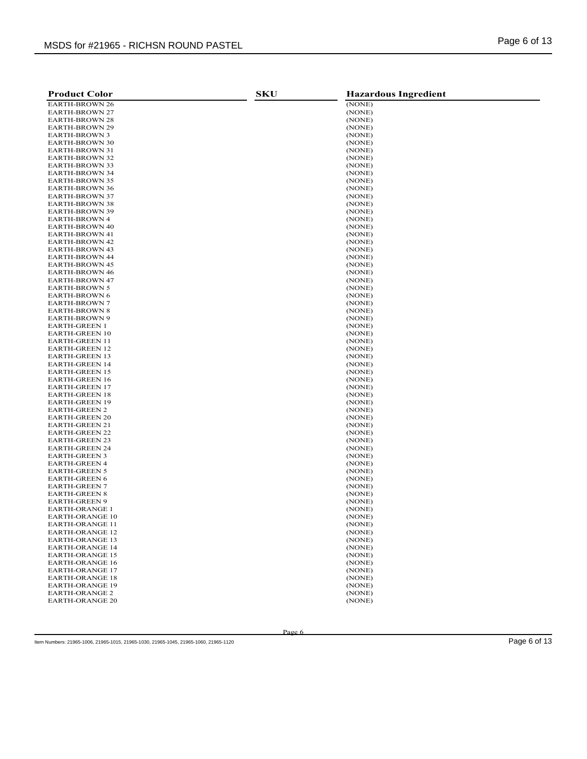| <b>Product Color</b>                             | <b>SKU</b> | <b>Hazardous Ingredient</b> |
|--------------------------------------------------|------------|-----------------------------|
| <b>EARTH-BROWN 26</b>                            |            | (NONE)                      |
| <b>EARTH-BROWN 27</b>                            |            | (NONE)                      |
| <b>EARTH-BROWN 28</b>                            |            | (NONE)                      |
| <b>EARTH-BROWN 29</b>                            |            | (NONE)                      |
| EARTH-BROWN 3                                    |            | (NONE)                      |
| <b>EARTH-BROWN 30</b>                            |            | (NONE)                      |
| <b>EARTH-BROWN 31</b>                            |            | (NONE)                      |
| <b>EARTH-BROWN 32</b>                            |            | (NONE)                      |
| <b>EARTH-BROWN 33</b>                            |            | (NONE)                      |
| <b>EARTH-BROWN 34</b>                            |            | (NONE)                      |
| <b>EARTH-BROWN 35</b>                            |            | (NONE)                      |
| <b>EARTH-BROWN 36</b>                            |            | (NONE)                      |
| <b>EARTH-BROWN 37</b>                            |            | (NONE)                      |
| <b>EARTH-BROWN 38</b>                            |            | (NONE)                      |
| <b>EARTH-BROWN 39</b>                            |            | (NONE)                      |
| <b>EARTH-BROWN 4</b>                             |            | (NONE)                      |
| <b>EARTH-BROWN 40</b>                            |            | (NONE)                      |
| <b>EARTH-BROWN 41</b>                            |            | (NONE)                      |
| <b>EARTH-BROWN 42</b>                            |            | (NONE)                      |
| <b>EARTH-BROWN 43</b>                            |            | (NONE)                      |
| <b>EARTH-BROWN 44</b>                            |            | (NONE)                      |
| <b>EARTH-BROWN 45</b>                            |            | (NONE)                      |
| <b>EARTH-BROWN 46</b>                            |            | (NONE)                      |
| <b>EARTH-BROWN 47</b>                            |            | (NONE)                      |
| <b>EARTH-BROWN 5</b>                             |            | (NONE)                      |
| <b>EARTH-BROWN 6</b>                             |            | (NONE)                      |
| <b>EARTH-BROWN 7</b>                             |            | (NONE)                      |
| <b>EARTH-BROWN 8</b>                             |            | (NONE)                      |
| <b>EARTH-BROWN 9</b>                             |            | (NONE)                      |
| <b>EARTH-GREEN 1</b><br><b>EARTH-GREEN 10</b>    |            | (NONE)                      |
| <b>EARTH-GREEN 11</b>                            |            | (NONE)<br>(NONE)            |
| <b>EARTH-GREEN 12</b>                            |            | (NONE)                      |
| <b>EARTH-GREEN 13</b>                            |            | (NONE)                      |
| <b>EARTH-GREEN 14</b>                            |            | (NONE)                      |
| <b>EARTH-GREEN 15</b>                            |            | (NONE)                      |
| <b>EARTH-GREEN 16</b>                            |            | (NONE)                      |
| <b>EARTH-GREEN 17</b>                            |            | (NONE)                      |
| <b>EARTH-GREEN 18</b>                            |            | (NONE)                      |
| <b>EARTH-GREEN 19</b>                            |            | (NONE)                      |
| <b>EARTH-GREEN 2</b>                             |            | (NONE)                      |
| <b>EARTH-GREEN 20</b>                            |            | (NONE)                      |
| <b>EARTH-GREEN 21</b>                            |            | (NONE)                      |
| <b>EARTH-GREEN 22</b>                            |            | (NONE)                      |
| <b>EARTH-GREEN 23</b>                            |            | (NONE)                      |
| <b>EARTH-GREEN 24</b>                            |            | (NONE)                      |
| <b>EARTH-GREEN 3</b>                             |            | (NONE)                      |
| <b>EARTH-GREEN 4</b>                             |            | (NONE)                      |
| <b>EARTH-GREEN 5</b>                             |            | (NONE)                      |
| <b>EARTH-GREEN 6</b>                             |            | (NONE)                      |
| <b>EARTH-GREEN 7</b>                             |            | (NONE)                      |
| <b>EARTH-GREEN 8</b>                             |            | (NONE)                      |
| <b>EARTH-GREEN 9</b>                             |            | (NONE)                      |
| <b>EARTH-ORANGE 1</b>                            |            | (NONE)                      |
| <b>EARTH-ORANGE 10</b>                           |            | (NONE)                      |
| <b>EARTH-ORANGE 11</b>                           |            | (NONE)                      |
| <b>EARTH-ORANGE 12</b>                           |            | (NONE)                      |
| <b>EARTH-ORANGE 13</b>                           |            | (NONE)                      |
| <b>EARTH-ORANGE 14</b>                           |            | (NONE)                      |
| <b>EARTH-ORANGE 15</b>                           |            | (NONE)                      |
| <b>EARTH-ORANGE 16</b><br><b>EARTH-ORANGE 17</b> |            | (NONE)<br>(NONE)            |
| <b>EARTH-ORANGE 18</b>                           |            | (NONE)                      |
| <b>EARTH-ORANGE 19</b>                           |            | (NONE)                      |
| <b>EARTH-ORANGE 2</b>                            |            | (NONE)                      |
| <b>EARTH-ORANGE 20</b>                           |            | (NONE)                      |
|                                                  |            |                             |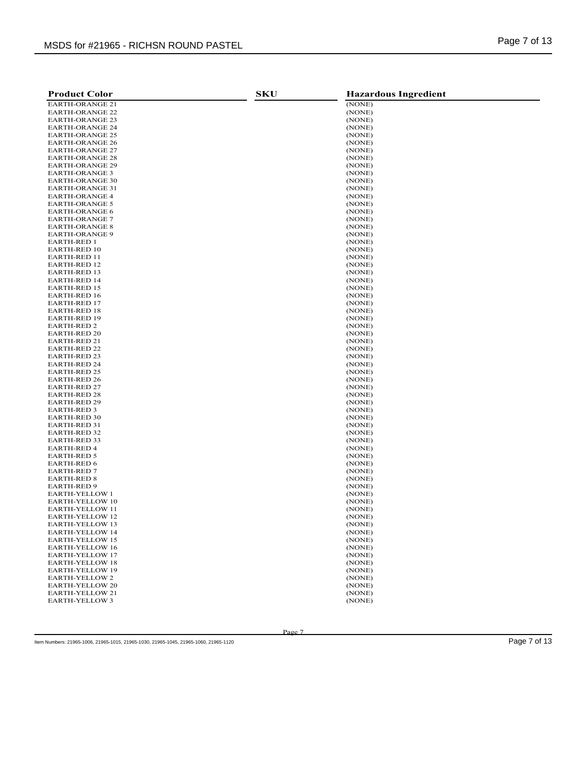| <b>Product Color</b>                       | <b>SKU</b> | <b>Hazardous Ingredient</b> |
|--------------------------------------------|------------|-----------------------------|
| <b>EARTH-ORANGE 21</b>                     |            | (NONE)                      |
| <b>EARTH-ORANGE 22</b>                     |            | (NONE)                      |
| <b>EARTH-ORANGE 23</b>                     |            | (NONE)                      |
| <b>EARTH-ORANGE 24</b>                     |            | (NONE)                      |
| <b>EARTH-ORANGE 25</b>                     |            | (NONE)                      |
| <b>EARTH-ORANGE 26</b>                     |            | (NONE)                      |
| <b>EARTH-ORANGE 27</b>                     |            | (NONE)                      |
| <b>EARTH-ORANGE 28</b>                     |            | (NONE)                      |
| <b>EARTH-ORANGE 29</b>                     |            | (NONE)                      |
| <b>EARTH-ORANGE 3</b>                      |            | (NONE)                      |
| <b>EARTH-ORANGE 30</b>                     |            | (NONE)                      |
| <b>EARTH-ORANGE 31</b>                     |            | (NONE)                      |
| <b>EARTH-ORANGE 4</b>                      |            | (NONE)                      |
| <b>EARTH-ORANGE 5</b>                      |            | (NONE)                      |
| <b>EARTH-ORANGE 6</b>                      |            | (NONE)                      |
| <b>EARTH-ORANGE 7</b>                      |            | (NONE)                      |
| <b>EARTH-ORANGE 8</b>                      |            | (NONE)                      |
| <b>EARTH-ORANGE 9</b>                      |            | (NONE)                      |
| <b>EARTH-RED 1</b>                         |            | (NONE)                      |
| <b>EARTH-RED 10</b>                        |            | (NONE)                      |
| EARTH-RED 11                               |            | (NONE)                      |
| <b>EARTH-RED 12</b>                        |            | (NONE)                      |
| <b>EARTH-RED 13</b>                        |            | (NONE)                      |
| <b>EARTH-RED 14</b>                        |            | (NONE)                      |
| <b>EARTH-RED 15</b>                        |            | (NONE)                      |
| EARTH-RED 16                               |            | (NONE)                      |
| <b>EARTH-RED 17</b>                        |            | (NONE)                      |
| <b>EARTH-RED 18</b>                        |            | (NONE)                      |
| <b>EARTH-RED 19</b>                        |            | (NONE)                      |
| <b>EARTH-RED 2</b>                         |            | (NONE)                      |
| <b>EARTH-RED 20</b>                        |            | (NONE)                      |
| <b>EARTH-RED 21</b>                        |            | (NONE)                      |
| <b>EARTH-RED 22</b><br><b>EARTH-RED 23</b> |            | (NONE)                      |
| <b>EARTH-RED 24</b>                        |            | (NONE)<br>(NONE)            |
| <b>EARTH-RED 25</b>                        |            | (NONE)                      |
| <b>EARTH-RED 26</b>                        |            | (NONE)                      |
| <b>EARTH-RED 27</b>                        |            | (NONE)                      |
| <b>EARTH-RED 28</b>                        |            | (NONE)                      |
| <b>EARTH-RED 29</b>                        |            | (NONE)                      |
| EARTH-RED 3                                |            | (NONE)                      |
| <b>EARTH-RED 30</b>                        |            | (NONE)                      |
| EARTH-RED 31                               |            | (NONE)                      |
| <b>EARTH-RED 32</b>                        |            | (NONE)                      |
| <b>EARTH-RED 33</b>                        |            | (NONE)                      |
| <b>EARTH-RED 4</b>                         |            | (NONE)                      |
| <b>EARTH-RED 5</b>                         |            | (NONE)                      |
| <b>EARTH-RED 6</b>                         |            | (NONE)                      |
| <b>EARTH-RED 7</b>                         |            | (NONE)                      |
| <b>EARTH-RED 8</b>                         |            | (NONE)                      |
| <b>EARTH-RED 9</b>                         |            | (NONE)                      |
| <b>EARTH-YELLOW 1</b>                      |            | (NONE)                      |
| <b>EARTH-YELLOW 10</b>                     |            | (NONE)                      |
| <b>EARTH-YELLOW 11</b>                     |            | (NONE)                      |
| EARTH-YELLOW 12                            |            | (NONE)                      |
| EARTH-YELLOW 13                            |            | (NONE)                      |
| EARTH-YELLOW 14                            |            | (NONE)                      |
| <b>EARTH-YELLOW 15</b>                     |            | (NONE)                      |
| <b>EARTH-YELLOW 16</b>                     |            | (NONE)                      |
| EARTH-YELLOW 17                            |            | (NONE)                      |
| <b>EARTH-YELLOW 18</b>                     |            | (NONE)                      |
| <b>EARTH-YELLOW 19</b>                     |            | (NONE)                      |
| EARTH-YELLOW 2                             |            | (NONE)                      |
| EARTH-YELLOW 20                            |            | (NONE)                      |
| EARTH-YELLOW 21                            |            | (NONE)                      |
| EARTH-YELLOW 3                             |            | (NONE)                      |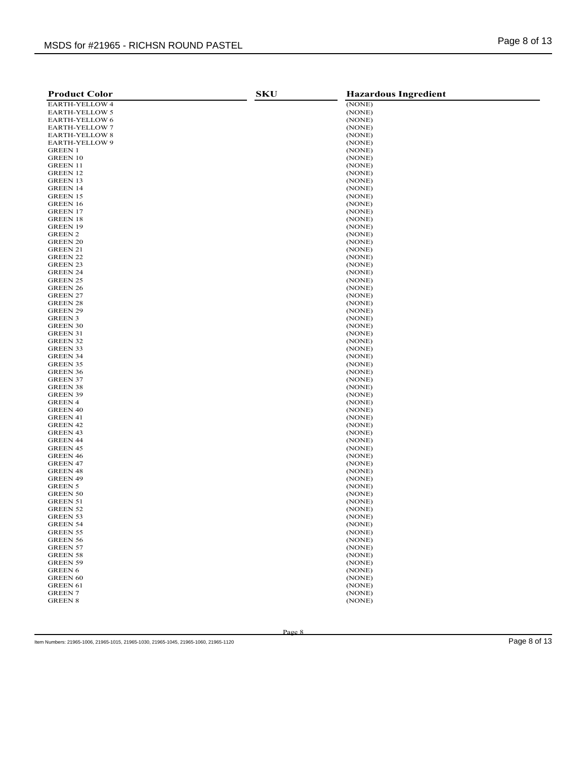| <b>Product Color</b>              | <b>SKU</b> | <b>Hazardous Ingredient</b> |
|-----------------------------------|------------|-----------------------------|
| EARTH-YELLOW 4                    |            | (NONE)                      |
| EARTH-YELLOW 5                    |            | (NONE)                      |
| EARTH-YELLOW 6                    |            | (NONE)                      |
| <b>EARTH-YELLOW 7</b>             |            | (NONE)                      |
| <b>EARTH-YELLOW 8</b>             |            | (NONE)                      |
| EARTH-YELLOW 9                    |            | (NONE)                      |
| <b>GREEN 1</b>                    |            | (NONE)                      |
| <b>GREEN 10</b>                   |            | (NONE)                      |
| <b>GREEN 11</b>                   |            | (NONE)                      |
| GREEN 12                          |            | (NONE)                      |
| <b>GREEN 13</b>                   |            | (NONE)                      |
| <b>GREEN 14</b>                   |            | (NONE)                      |
| <b>GREEN 15</b>                   |            | (NONE)                      |
| <b>GREEN 16</b>                   |            | (NONE)                      |
| <b>GREEN 17</b>                   |            | (NONE)                      |
| <b>GREEN 18</b>                   |            | (NONE)                      |
| <b>GREEN 19</b>                   |            | (NONE)                      |
| <b>GREEN 2</b>                    |            | (NONE)                      |
| <b>GREEN 20</b>                   |            | (NONE)<br>(NONE)            |
| GREEN 21<br><b>GREEN 22</b>       |            | (NONE)                      |
| <b>GREEN 23</b>                   |            | (NONE)                      |
| <b>GREEN 24</b>                   |            | (NONE)                      |
| <b>GREEN 25</b>                   |            | (NONE)                      |
| GREEN 26                          |            | (NONE)                      |
| GREEN 27                          |            | (NONE)                      |
| GREEN 28                          |            | (NONE)                      |
| <b>GREEN 29</b>                   |            | (NONE)                      |
| <b>GREEN 3</b>                    |            | (NONE)                      |
| GREEN 30                          |            | (NONE)                      |
| <b>GREEN 31</b>                   |            | (NONE)                      |
| GREEN 32                          |            | (NONE)                      |
| <b>GREEN 33</b>                   |            | (NONE)                      |
| <b>GREEN 34</b>                   |            | (NONE)                      |
| GREEN 35                          |            | (NONE)                      |
| GREEN 36                          |            | (NONE)                      |
| <b>GREEN 37</b>                   |            | (NONE)                      |
| GREEN 38                          |            | (NONE)                      |
| GREEN 39                          |            | (NONE)                      |
| GREEN 4                           |            | (NONE)                      |
| <b>GREEN 40</b>                   |            | (NONE)<br>(NONE)            |
| GREEN 41<br>GREEN 42              |            | (NONE)                      |
| <b>GREEN 43</b>                   |            | (NONE)                      |
| <b>GREEN 44</b>                   |            | (NONE)                      |
| GREEN 45                          |            | (NONE)                      |
| <b>GREEN 46</b>                   |            | (NONE)                      |
| <b>GREEN 47</b>                   |            | (NONE)                      |
| <b>GREEN 48</b>                   |            | (NONE)                      |
| <b>GREEN 49</b>                   |            | (NONE)                      |
| <b>GREEN 5</b>                    |            | (NONE)                      |
| GREEN 50                          |            | (NONE)                      |
| GREEN 51                          |            | (NONE)                      |
| <b>GREEN 52</b>                   |            | (NONE)                      |
| GREEN 53                          |            | (NONE)                      |
| <b>GREEN 54</b>                   |            | (NONE)                      |
| GREEN 55                          |            | (NONE)                      |
| <b>GREEN 56</b>                   |            | (NONE)                      |
| <b>GREEN 57</b>                   |            | (NONE)                      |
| <b>GREEN 58</b>                   |            | (NONE)                      |
| <b>GREEN 59</b>                   |            | (NONE)                      |
| <b>GREEN 6</b>                    |            | (NONE)                      |
| <b>GREEN 60</b>                   |            | (NONE)                      |
| <b>GREEN 61</b><br><b>GREEN 7</b> |            | (NONE)                      |
|                                   |            | (NONE)                      |
| <b>GREEN 8</b>                    |            | (NONE)                      |

Item Numbers: 21965-1006, 21965-1015, 21965-1030, 21965-1045, 21965-1060, 21965-1120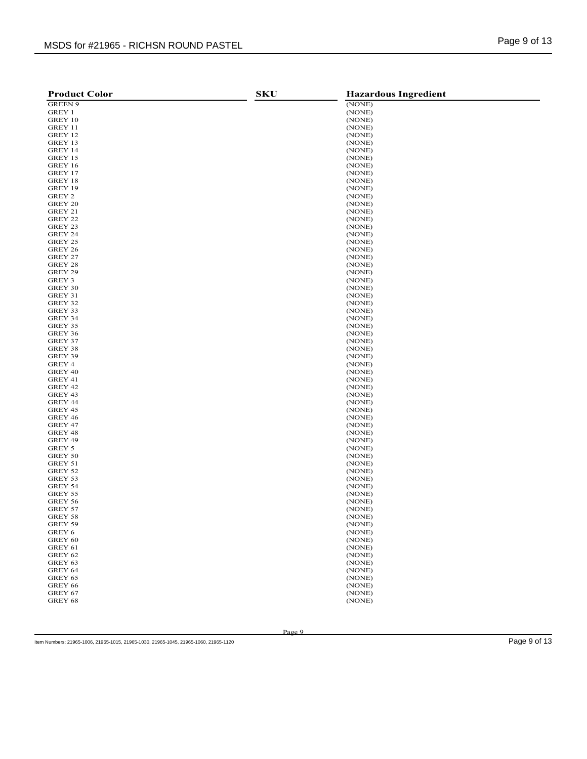| <b>Product Color</b> | <b>SKU</b> | <b>Hazardous Ingredient</b> |
|----------------------|------------|-----------------------------|
| <b>GREEN 9</b>       |            | (NONE)                      |
| GREY 1               |            | (NONE)                      |
| GREY 10              |            | (NONE)                      |
| GREY 11              |            | (NONE)                      |
| GREY 12              |            | (NONE)                      |
| GREY 13              |            | (NONE)                      |
| GREY 14              |            | (NONE)                      |
| GREY 15              |            | (NONE)                      |
| GREY 16              |            | (NONE)                      |
| GREY 17              |            | (NONE)                      |
| GREY 18              |            | (NONE)                      |
| GREY 19              |            | (NONE)                      |
| GREY 2               |            | (NONE)                      |
| GREY 20              |            | (NONE)                      |
| GREY 21              |            | (NONE)                      |
| GREY 22              |            | (NONE)                      |
| GREY 23              |            | (NONE)                      |
| GREY 24              |            | (NONE)                      |
| GREY 25              |            | (NONE)                      |
| GREY 26              |            | (NONE)                      |
| GREY 27              |            | (NONE)                      |
| GREY 28              |            | (NONE)                      |
| GREY 29              |            | (NONE)                      |
| GREY 3               |            | (NONE)                      |
| GREY 30              |            | (NONE)                      |
| GREY 31<br>GREY 32   |            | (NONE)<br>(NONE)            |
| GREY 33              |            | (NONE)                      |
| GREY 34              |            | (NONE)                      |
| GREY 35              |            | (NONE)                      |
| GREY 36              |            | (NONE)                      |
| GREY 37              |            | (NONE)                      |
| GREY 38              |            | (NONE)                      |
| GREY 39              |            | (NONE)                      |
| GREY 4               |            | (NONE)                      |
| GREY 40              |            | (NONE)                      |
| GREY 41              |            | (NONE)                      |
| GREY 42              |            | (NONE)                      |
| GREY 43              |            | (NONE)                      |
| GREY 44              |            | (NONE)                      |
| GREY 45              |            | (NONE)                      |
| GREY 46              |            | (NONE)                      |
| GREY 47              |            | (NONE)                      |
| GREY 48              |            | (NONE)                      |
| GREY 49              |            | (NONE)                      |
| GREY 5               |            | (NONE)                      |
| GREY 50              |            | (NONE)                      |
| GREY 51              |            | (NONE)                      |
| GREY 52              |            | (NONE)                      |
| GREY 53              |            | (NONE)                      |
| GREY 54              |            | (NONE)                      |
| GREY 55              |            | (NONE)                      |
| GREY 56<br>GREY 57   |            | (NONE)<br>(NONE)            |
| GREY 58              |            | (NONE)                      |
| GREY 59              |            | (NONE)                      |
| GREY 6               |            | (NONE)                      |
| GREY 60              |            | (NONE)                      |
| GREY 61              |            | (NONE)                      |
| GREY 62              |            | (NONE)                      |
| GREY 63              |            | (NONE)                      |
| GREY 64              |            | (NONE)                      |
| GREY 65              |            | (NONE)                      |
| GREY 66              |            | (NONE)                      |
| GREY 67              |            | (NONE)                      |
| GREY 68              |            | (NONE)                      |
|                      |            |                             |

Item Numbers: 21965-1006, 21965-1015, 21965-1030, 21965-1045, 21965-1060, 21965-1120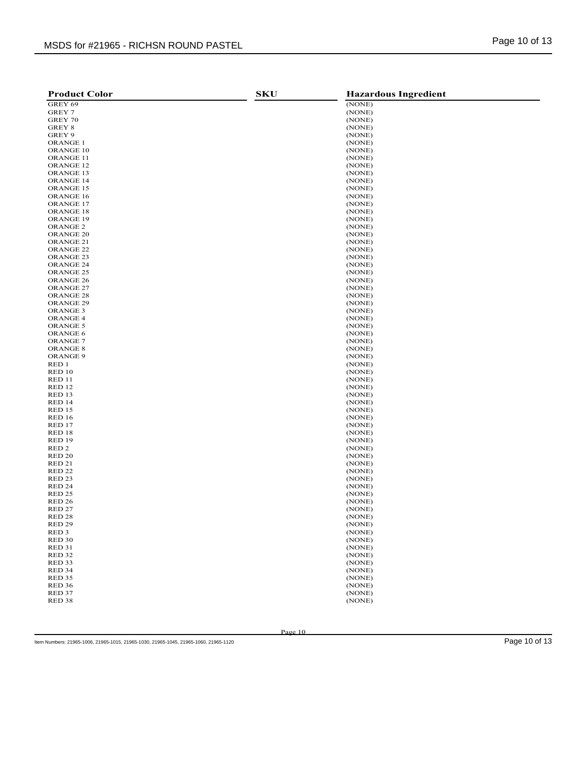| <b>Product Color</b>       | <b>SKU</b> | <b>Hazardous Ingredient</b> |
|----------------------------|------------|-----------------------------|
| GREY 69                    |            | (NONE)                      |
| GREY 7                     |            | (NONE)                      |
| GREY 70                    |            | (NONE)                      |
| GREY 8                     |            | (NONE)                      |
| GREY 9                     |            | (NONE)                      |
| <b>ORANGE 1</b>            |            | (NONE)                      |
| ORANGE 10                  |            | (NONE)                      |
| ORANGE 11                  |            | (NONE)                      |
| ORANGE <sub>12</sub>       |            | (NONE)                      |
| ORANGE 13                  |            | (NONE)                      |
| ORANGE 14                  |            | (NONE)                      |
| ORANGE 15                  |            | (NONE)                      |
| ORANGE 16                  |            | (NONE)                      |
| ORANGE 17                  |            | (NONE)                      |
| ORANGE 18                  |            | (NONE)                      |
| ORANGE 19                  |            | (NONE)                      |
| ORANGE 2                   |            | (NONE)                      |
| ORANGE <sub>20</sub>       |            | (NONE)                      |
| ORANGE 21                  |            | (NONE)                      |
| ORANGE <sub>22</sub>       |            | (NONE)                      |
| ORANGE <sub>23</sub>       |            | (NONE)                      |
| ORANGE 24                  |            | (NONE)                      |
| ORANGE <sub>25</sub>       |            | (NONE)                      |
| ORANGE <sub>26</sub>       |            | (NONE)                      |
| ORANGE 27                  |            | (NONE)                      |
| ORANGE <sub>28</sub>       |            | (NONE)                      |
| ORANGE 29                  |            | (NONE)                      |
| ORANGE <sub>3</sub>        |            | (NONE)                      |
| <b>ORANGE 4</b>            |            | (NONE)                      |
| ORANGE 5                   |            | (NONE)                      |
| <b>ORANGE 6</b>            |            | (NONE)                      |
| <b>ORANGE 7</b>            |            | (NONE)                      |
| ORANGE 8                   |            | (NONE)                      |
| ORANGE 9                   |            | (NONE)                      |
| RED 1                      |            | (NONE)                      |
| <b>RED 10</b>              |            | (NONE)                      |
| <b>RED 11</b>              |            | (NONE)                      |
| <b>RED 12</b>              |            | (NONE)                      |
| RED 13                     |            | (NONE)                      |
| RED 14                     |            | (NONE)                      |
| <b>RED 15</b>              |            | (NONE)                      |
| <b>RED 16</b>              |            | (NONE)                      |
| RED 17                     |            | (NONE)                      |
| RED 18                     |            | (NONE)                      |
| <b>RED 19</b>              |            | (NONE)                      |
| RED <sub>2</sub>           |            | (NONE)                      |
| RED <sub>20</sub>          |            | (NONE)                      |
| <b>RED 21</b>              |            | (NONE)                      |
| <b>RED 22</b>              |            | (NONE)                      |
| RED <sub>23</sub>          |            | (NONE)                      |
| RED <sub>24</sub>          |            | (NONE)                      |
| <b>RED 25</b>              |            | (NONE)                      |
| RED <sub>26</sub>          |            | (NONE)                      |
| <b>RED 27</b><br>RED 28    |            | (NONE)<br>(NONE)            |
|                            |            |                             |
| RED 29<br>RED <sub>3</sub> |            | (NONE)<br>(NONE)            |
| RED <sub>30</sub>          |            | (NONE)                      |
| <b>RED 31</b>              |            | (NONE)                      |
| <b>RED 32</b>              |            | (NONE)                      |
| RED <sub>33</sub>          |            | (NONE)                      |
| RED 34                     |            | (NONE)                      |
| <b>RED 35</b>              |            | (NONE)                      |
| RED <sub>36</sub>          |            | (NONE)                      |
| RED 37                     |            | (NONE)                      |
| RED <sub>38</sub>          |            | (NONE)                      |
|                            |            |                             |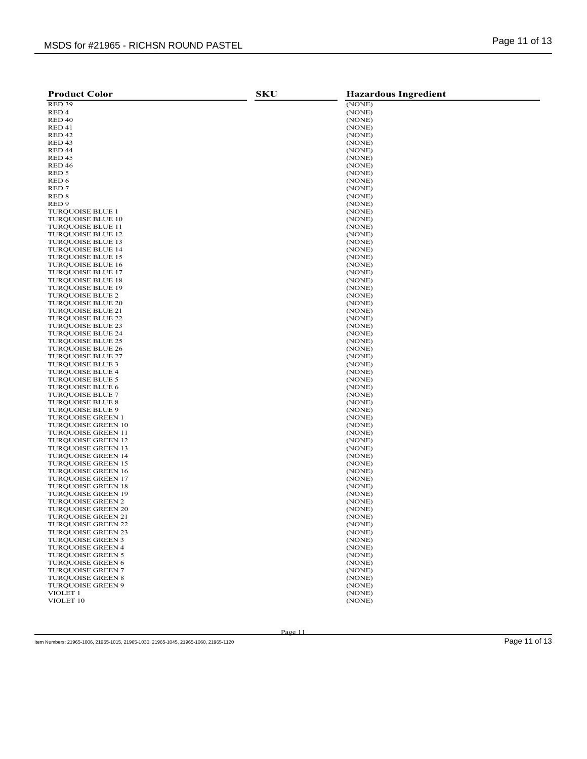| <b>Product Color</b>                                   | <b>SKU</b> | <b>Hazardous Ingredient</b> |
|--------------------------------------------------------|------------|-----------------------------|
| RED <sub>39</sub>                                      |            | (NONE)                      |
| RED <sub>4</sub>                                       |            | (NONE)                      |
| RED <sub>40</sub>                                      |            | (NONE)                      |
| RED <sub>41</sub>                                      |            | (NONE)                      |
| RED <sub>42</sub>                                      |            | (NONE)                      |
| RED <sub>43</sub>                                      |            | (NONE)                      |
| RED <sub>44</sub>                                      |            | (NONE)                      |
| <b>RED 45</b>                                          |            | (NONE)                      |
| <b>RED 46</b>                                          |            | (NONE)                      |
| RED 5                                                  |            | (NONE)                      |
| RED 6                                                  |            | (NONE)                      |
| RED <sub>7</sub>                                       |            | (NONE)                      |
| RED <sub>8</sub>                                       |            | (NONE)                      |
| RED <sub>9</sub>                                       |            | (NONE)                      |
| <b>TURQUOISE BLUE 1</b>                                |            | (NONE)                      |
| <b>TURQUOISE BLUE 10</b>                               |            | (NONE)                      |
| <b>TURQUOISE BLUE 11</b>                               |            | (NONE)                      |
| TURQUOISE BLUE 12                                      |            | (NONE)                      |
| <b>TURQUOISE BLUE 13</b>                               |            | (NONE)<br>(NONE)            |
| <b>TURQUOISE BLUE 14</b><br><b>TURQUOISE BLUE 15</b>   |            | (NONE)                      |
| TURQUOISE BLUE 16                                      |            | (NONE)                      |
| <b>TURQUOISE BLUE 17</b>                               |            | (NONE)                      |
| <b>TURQUOISE BLUE 18</b>                               |            | (NONE)                      |
| <b>TURQUOISE BLUE 19</b>                               |            | (NONE)                      |
| <b>TURQUOISE BLUE 2</b>                                |            | (NONE)                      |
| <b>TURQUOISE BLUE 20</b>                               |            | (NONE)                      |
| <b>TURQUOISE BLUE 21</b>                               |            | (NONE)                      |
| <b>TUROUOISE BLUE 22</b>                               |            | (NONE)                      |
| <b>TURQUOISE BLUE 23</b>                               |            | (NONE)                      |
| <b>TURQUOISE BLUE 24</b>                               |            | (NONE)                      |
| <b>TURQUOISE BLUE 25</b>                               |            | (NONE)                      |
| <b>TUROUOISE BLUE 26</b>                               |            | (NONE)                      |
| <b>TURQUOISE BLUE 27</b>                               |            | (NONE)                      |
| <b>TURQUOISE BLUE 3</b>                                |            | (NONE)                      |
| <b>TURQUOISE BLUE 4</b>                                |            | (NONE)                      |
| <b>TURQUOISE BLUE 5</b>                                |            | (NONE)                      |
| <b>TURQUOISE BLUE 6</b>                                |            | (NONE)                      |
| <b>TURQUOISE BLUE 7</b>                                |            | (NONE)                      |
| <b>TURQUOISE BLUE 8</b>                                |            | (NONE)                      |
| <b>TURQUOISE BLUE 9</b>                                |            | (NONE)                      |
| <b>TURQUOISE GREEN 1</b>                               |            | (NONE)                      |
| <b>TURQUOISE GREEN 10</b>                              |            | (NONE)                      |
| <b>TURQUOISE GREEN 11</b><br><b>TURQUOISE GREEN 12</b> |            | (NONE)<br>(NONE)            |
| <b>TURQUOISE GREEN 13</b>                              |            | (NONE)                      |
| <b>TURQUOISE GREEN 14</b>                              |            | (NONE)                      |
| <b>TURQUOISE GREEN 15</b>                              |            | (NONE)                      |
| <b>TURQUOISE GREEN 16</b>                              |            | (NONE)                      |
| <b>TURQUOISE GREEN 17</b>                              |            | (NONE)                      |
| <b>TURQUOISE GREEN 18</b>                              |            | (NONE)                      |
| <b>TURQUOISE GREEN 19</b>                              |            | (NONE)                      |
| <b>TURQUOISE GREEN 2</b>                               |            | (NONE)                      |
| <b>TURQUOISE GREEN 20</b>                              |            | (NONE)                      |
| <b>TURQUOISE GREEN 21</b>                              |            | (NONE)                      |
| TURQUOISE GREEN 22                                     |            | (NONE)                      |
| <b>TURQUOISE GREEN 23</b>                              |            | (NONE)                      |
| <b>TURQUOISE GREEN 3</b>                               |            | (NONE)                      |
| TURQUOISE GREEN 4                                      |            | (NONE)                      |
| <b>TURQUOISE GREEN 5</b>                               |            | (NONE)                      |
| <b>TURQUOISE GREEN 6</b>                               |            | (NONE)                      |
| <b>TURQUOISE GREEN 7</b>                               |            | (NONE)                      |
| <b>TURQUOISE GREEN 8</b>                               |            | (NONE)                      |
| <b>TURQUOISE GREEN 9</b>                               |            | (NONE)                      |
| VIOLET 1                                               |            | (NONE)                      |
| VIOLET 10                                              |            | (NONE)                      |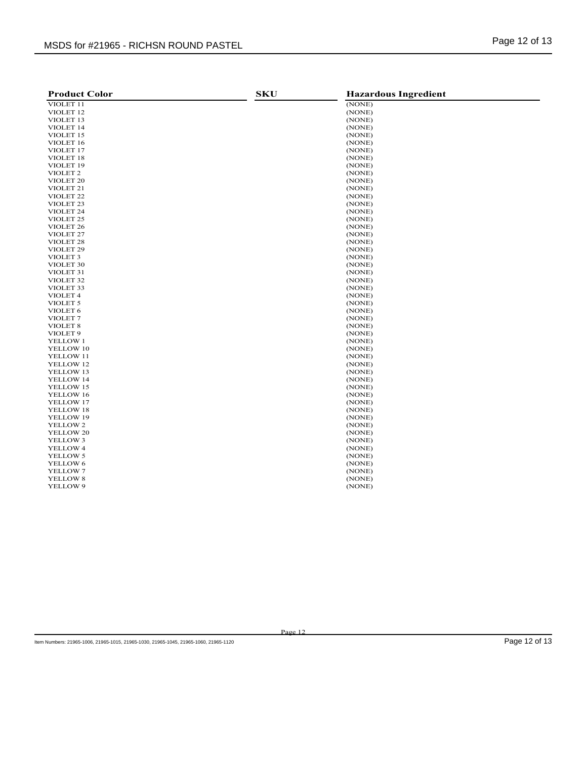| <b>Product Color</b>                         | <b>SKU</b> | <b>Hazardous Ingredient</b> |
|----------------------------------------------|------------|-----------------------------|
| VIOLET 11                                    |            | (NONE)                      |
| VIOLET <sub>12</sub>                         |            | (NONE)                      |
| VIOLET <sub>13</sub>                         |            | (NONE)                      |
| VIOLET 14                                    |            | (NONE)                      |
| VIOLET 15                                    |            | (NONE)                      |
| VIOLET 16                                    |            | (NONE)                      |
| VIOLET <sub>17</sub>                         |            | (NONE)                      |
| VIOLET <sub>18</sub>                         |            | (NONE)                      |
| VIOLET 19                                    |            | (NONE)                      |
| VIOLET <sub>2</sub>                          |            | (NONE)                      |
| VIOLET <sub>20</sub>                         |            | (NONE)                      |
| VIOLET <sub>21</sub>                         |            | (NONE)                      |
| VIOLET <sub>22</sub>                         |            | (NONE)                      |
| VIOLET <sub>23</sub>                         |            | (NONE)                      |
|                                              |            |                             |
| VIOLET <sub>24</sub><br>VIOLET <sub>25</sub> |            | (NONE)                      |
|                                              |            | (NONE)                      |
| VIOLET <sub>26</sub>                         |            | (NONE)                      |
| VIOLET <sub>27</sub>                         |            | (NONE)                      |
| VIOLET <sub>28</sub>                         |            | (NONE)                      |
| VIOLET <sub>29</sub>                         |            | (NONE)                      |
| VIOLET 3                                     |            | (NONE)                      |
| VIOLET 30                                    |            | (NONE)                      |
| VIOLET <sub>31</sub>                         |            | (NONE)                      |
| VIOLET <sub>32</sub>                         |            | (NONE)                      |
| VIOLET <sub>33</sub>                         |            | (NONE)                      |
| VIOLET 4                                     |            | (NONE)                      |
| VIOLET <sub>5</sub>                          |            | (NONE)                      |
| VIOLET <sub>6</sub>                          |            | (NONE)                      |
| VIOLET <sub>7</sub>                          |            | (NONE)                      |
| VIOLET <sub>8</sub>                          |            | (NONE)                      |
| VIOLET <sub>9</sub>                          |            | (NONE)                      |
| YELLOW 1                                     |            | (NONE)                      |
| YELLOW 10                                    |            | (NONE)                      |
| YELLOW 11                                    |            | (NONE)                      |
| YELLOW 12                                    |            | (NONE)                      |
| YELLOW 13                                    |            | (NONE)                      |
| YELLOW 14                                    |            | (NONE)                      |
| YELLOW 15                                    |            | (NONE)                      |
| YELLOW 16                                    |            | (NONE)                      |
| YELLOW 17                                    |            | (NONE)                      |
| YELLOW 18                                    |            | (NONE)                      |
| YELLOW 19                                    |            | (NONE)                      |
| YELLOW 2                                     |            | (NONE)                      |
| YELLOW 20                                    |            | (NONE)                      |
| YELLOW 3                                     |            | (NONE)                      |
| YELLOW 4                                     |            | (NONE)                      |
| YELLOW 5                                     |            | (NONE)                      |
| YELLOW 6                                     |            | (NONE)                      |
| YELLOW 7                                     |            | (NONE)                      |
| YELLOW 8                                     |            | (NONE)                      |
| YELLOW 9                                     |            | (NONE)                      |
|                                              |            |                             |